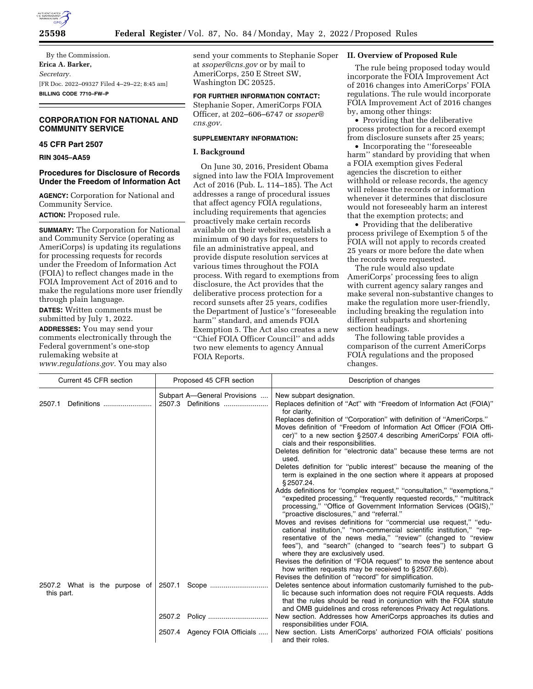

By the Commission. **Erica A. Barker,**  *Secretary.*  [FR Doc. 2022–09327 Filed 4–29–22; 8:45 am] **BILLING CODE 7710–FW–P** 

# **CORPORATION FOR NATIONAL AND COMMUNITY SERVICE**

## **45 CFR Part 2507**

**RIN 3045–AA59** 

## **Procedures for Disclosure of Records Under the Freedom of Information Act**

**AGENCY:** Corporation for National and Community Service.

**ACTION:** Proposed rule.

**SUMMARY:** The Corporation for National and Community Service (operating as AmeriCorps) is updating its regulations for processing requests for records under the Freedom of Information Act (FOIA) to reflect changes made in the FOIA Improvement Act of 2016 and to make the regulations more user friendly through plain language.

**DATES:** Written comments must be submitted by July 1, 2022.

**ADDRESSES:** You may send your comments electronically through the Federal government's one-stop rulemaking website at *[www.regulations.gov.](http://www.regulations.gov)* You may also

send your comments to Stephanie Soper at *[ssoper@cns.gov](mailto:ssoper@cns.gov)* or by mail to AmeriCorps, 250 E Street SW, Washington DC 20525.

# **FOR FURTHER INFORMATION CONTACT:**

Stephanie Soper, AmeriCorps FOIA Officer, at 202–606–6747 or *[ssoper@](mailto:ssoper@cns.gov) [cns.gov.](mailto:ssoper@cns.gov)* 

## **SUPPLEMENTARY INFORMATION:**

# **I. Background**

On June 30, 2016, President Obama signed into law the FOIA Improvement Act of 2016 (Pub. L. 114–185). The Act addresses a range of procedural issues that affect agency FOIA regulations, including requirements that agencies proactively make certain records available on their websites, establish a minimum of 90 days for requesters to file an administrative appeal, and provide dispute resolution services at various times throughout the FOIA process. With regard to exemptions from disclosure, the Act provides that the deliberative process protection for a record sunsets after 25 years, codifies the Department of Justice's ''foreseeable harm'' standard, and amends FOIA Exemption 5. The Act also creates a new ''Chief FOIA Officer Council'' and adds two new elements to agency Annual FOIA Reports.

## **II. Overview of Proposed Rule**

The rule being proposed today would incorporate the FOIA Improvement Act of 2016 changes into AmeriCorps' FOIA regulations. The rule would incorporate FOIA Improvement Act of 2016 changes by, among other things:

• Providing that the deliberative process protection for a record exempt from disclosure sunsets after 25 years;

• Incorporating the ''foreseeable harm'' standard by providing that when a FOIA exemption gives Federal agencies the discretion to either withhold or release records, the agency will release the records or information whenever it determines that disclosure would not foreseeably harm an interest that the exemption protects; and

• Providing that the deliberative process privilege of Exemption 5 of the FOIA will not apply to records created 25 years or more before the date when the records were requested.

The rule would also update AmeriCorps' processing fees to align with current agency salary ranges and make several non-substantive changes to make the regulation more user-friendly, including breaking the regulation into different subparts and shortening section headings.

The following table provides a comparison of the current AmeriCorps FOIA regulations and the proposed changes.

| Current 45 CFR section        | Proposed 45 CFR section      | Description of changes                                                                                                                  |
|-------------------------------|------------------------------|-----------------------------------------------------------------------------------------------------------------------------------------|
|                               | Subpart A-General Provisions | New subpart designation.                                                                                                                |
| Definitions<br>2507.1         |                              | Replaces definition of "Act" with "Freedom of Information Act (FOIA)"<br>for clarity.                                                   |
|                               |                              | Replaces definition of "Corporation" with definition of "AmeriCorps."                                                                   |
|                               |                              | Moves definition of "Freedom of Information Act Officer (FOIA Offi-                                                                     |
|                               |                              | cer)" to a new section §2507.4 describing AmeriCorps' FOIA offi-                                                                        |
|                               |                              | cials and their responsibilities.                                                                                                       |
|                               |                              | Deletes definition for "electronic data" because these terms are not                                                                    |
|                               |                              | used.                                                                                                                                   |
|                               |                              | Deletes definition for "public interest" because the meaning of the                                                                     |
|                               |                              | term is explained in the one section where it appears at proposed                                                                       |
|                               |                              | \$2507.24.                                                                                                                              |
|                               |                              | Adds definitions for "complex request," "consultation," "exemptions,"                                                                   |
|                               |                              | "expedited processing," "frequently requested records," "multitrack"                                                                    |
|                               |                              | processing," "Office of Government Information Services (OGIS),"                                                                        |
|                               |                              | "proactive disclosures," and "referral."                                                                                                |
|                               |                              | Moves and revises definitions for "commercial use request," "edu-                                                                       |
|                               |                              | cational institution," "non-commercial scientific institution," "rep-                                                                   |
|                               |                              | resentative of the news media," "review" (changed to "review                                                                            |
|                               |                              | fees"), and "search" (changed to "search fees") to subpart G                                                                            |
|                               |                              | where they are exclusively used.                                                                                                        |
|                               |                              | Revises the definition of "FOIA request" to move the sentence about                                                                     |
|                               |                              | how written requests may be received to §2507.6(b).                                                                                     |
|                               |                              | Revises the definition of "record" for simplification.                                                                                  |
| 2507.2 What is the purpose of | 2507.1 Scope                 | Deletes sentence about information customarily furnished to the pub-                                                                    |
| this part.                    |                              | lic because such information does not require FOIA requests. Adds<br>that the rules should be read in conjunction with the FOIA statute |
|                               |                              | and OMB guidelines and cross references Privacy Act regulations.                                                                        |
|                               |                              | New section. Addresses how AmeriCorps approaches its duties and                                                                         |
|                               |                              | responsibilities under FOIA.                                                                                                            |
|                               | 2507.4 Agency FOIA Officials | New section. Lists AmeriCorps' authorized FOIA officials' positions                                                                     |
|                               |                              | and their roles.                                                                                                                        |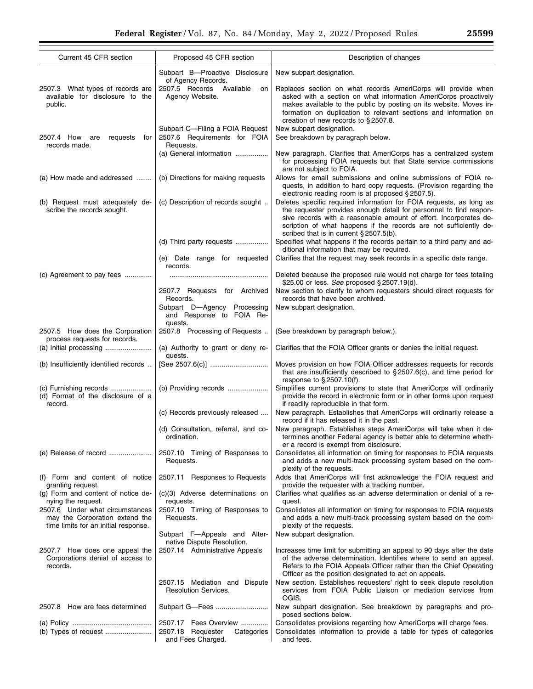| Current 45 CFR section                                                                                    | Proposed 45 CFR section                                                       | Description of changes                                                                                                                                                                                                                                                                                                             |  |  |
|-----------------------------------------------------------------------------------------------------------|-------------------------------------------------------------------------------|------------------------------------------------------------------------------------------------------------------------------------------------------------------------------------------------------------------------------------------------------------------------------------------------------------------------------------|--|--|
|                                                                                                           | Subpart B--Proactive Disclosure                                               |                                                                                                                                                                                                                                                                                                                                    |  |  |
|                                                                                                           | of Agency Records.                                                            | New subpart designation.                                                                                                                                                                                                                                                                                                           |  |  |
| 2507.3 What types of records are<br>available for disclosure to the<br>public.                            | 2507.5 Records Available<br>on<br>Agency Website.                             | Replaces section on what records AmeriCorps will provide when<br>asked with a section on what information AmeriCorps proactively<br>makes available to the public by posting on its website. Moves in-<br>formation on duplication to relevant sections and information on<br>creation of new records to $\S 2507.8$ .             |  |  |
| 2507.4 How<br>are<br>requests<br>for<br>records made.                                                     | Subpart C-Filing a FOIA Request<br>2507.6 Requirements for FOIA<br>Requests.  | New subpart designation.<br>See breakdown by paragraph below.                                                                                                                                                                                                                                                                      |  |  |
|                                                                                                           | (a) General information                                                       | New paragraph. Clarifies that AmeriCorps has a centralized system<br>for processing FOIA requests but that State service commissions<br>are not subject to FOIA.                                                                                                                                                                   |  |  |
| (a) How made and addressed                                                                                | (b) Directions for making requests                                            | Allows for email submissions and online submissions of FOIA re-<br>quests, in addition to hard copy requests. (Provision regarding the<br>electronic reading room is at proposed § 2507.5).                                                                                                                                        |  |  |
| (b) Request must adequately de-<br>scribe the records sought.                                             | (c) Description of records sought                                             | Deletes specific required information for FOIA requests, as long as<br>the requester provides enough detail for personnel to find respon-<br>sive records with a reasonable amount of effort. Incorporates de-<br>scription of what happens if the records are not sufficiently de-<br>scribed that is in current $\S 2507.5(b)$ . |  |  |
|                                                                                                           | (d) Third party requests                                                      | Specifies what happens if the records pertain to a third party and ad-<br>ditional information that may be required.<br>Clarifies that the request may seek records in a specific date range.                                                                                                                                      |  |  |
|                                                                                                           | (e) Date range for requested<br>records.                                      |                                                                                                                                                                                                                                                                                                                                    |  |  |
| (c) Agreement to pay fees                                                                                 |                                                                               | Deleted because the proposed rule would not charge for fees totaling<br>\$25.00 or less. See proposed § 2507.19(d).                                                                                                                                                                                                                |  |  |
|                                                                                                           | 2507.7 Requests for Archived<br>Records.                                      | New section to clarify to whom requesters should direct requests for<br>records that have been archived.                                                                                                                                                                                                                           |  |  |
|                                                                                                           | Subpart D-Agency Processing<br>and Response to FOIA Re-<br>quests.            | New subpart designation.                                                                                                                                                                                                                                                                                                           |  |  |
| 2507.5 How does the Corporation<br>process requests for records.                                          | 2507.8 Processing of Requests                                                 | (See breakdown by paragraph below.).                                                                                                                                                                                                                                                                                               |  |  |
|                                                                                                           | (a) Authority to grant or deny re-<br>quests.                                 | Clarifies that the FOIA Officer grants or denies the initial request.                                                                                                                                                                                                                                                              |  |  |
| (b) Insufficiently identified records                                                                     |                                                                               | Moves provision on how FOIA Officer addresses requests for records<br>that are insufficiently described to $\S 2507.6(c)$ , and time period for<br>response to $\S 2507.10(f)$ .                                                                                                                                                   |  |  |
| (c) Furnishing records<br>(d) Format of the disclosure of a<br>record.                                    | (b) Providing records                                                         | Simplifies current provisions to state that AmeriCorps will ordinarily<br>provide the record in electronic form or in other forms upon request<br>if readily reproducible in that form.                                                                                                                                            |  |  |
|                                                                                                           | (c) Records previously released                                               | New paragraph. Establishes that AmeriCorps will ordinarily release a<br>record if it has released it in the past.                                                                                                                                                                                                                  |  |  |
|                                                                                                           | (d) Consultation, referral, and co-<br>ordination.                            | New paragraph. Establishes steps AmeriCorps will take when it de-<br>termines another Federal agency is better able to determine wheth-<br>er a record is exempt from disclosure.                                                                                                                                                  |  |  |
| (e) Release of record                                                                                     | 2507.10 Timing of Responses to<br>Requests.                                   | Consolidates all information on timing for responses to FOIA requests<br>and adds a new multi-track processing system based on the com-<br>plexity of the requests.                                                                                                                                                                |  |  |
| (f) Form and content of notice<br>granting request.                                                       | 2507.11 Responses to Requests                                                 | Adds that AmeriCorps will first acknowledge the FOIA request and<br>provide the requester with a tracking number.                                                                                                                                                                                                                  |  |  |
| (g) Form and content of notice de-<br>nying the request.                                                  | (c)(3) Adverse determinations on<br>requests.                                 | Clarifies what qualifies as an adverse determination or denial of a re-<br>quest.                                                                                                                                                                                                                                                  |  |  |
| 2507.6 Under what circumstances<br>may the Corporation extend the<br>time limits for an initial response. | 2507.10 Timing of Responses to<br>Requests.                                   | Consolidates all information on timing for responses to FOIA requests<br>and adds a new multi-track processing system based on the com-<br>plexity of the requests.                                                                                                                                                                |  |  |
|                                                                                                           | Subpart F-Appeals and Alter-                                                  | New subpart designation.                                                                                                                                                                                                                                                                                                           |  |  |
| 2507.7 How does one appeal the<br>Corporations denial of access to<br>records.                            | native Dispute Resolution.<br>2507.14 Administrative Appeals                  | Increases time limit for submitting an appeal to 90 days after the date<br>of the adverse determination. Identifies where to send an appeal.<br>Refers to the FOIA Appeals Officer rather than the Chief Operating<br>Officer as the position designated to act on appeals.                                                        |  |  |
|                                                                                                           | 2507.15 Mediation and Dispute<br><b>Resolution Services.</b>                  | New section. Establishes requesters' right to seek dispute resolution<br>services from FOIA Public Liaison or mediation services from<br>OGIS.                                                                                                                                                                                     |  |  |
| 2507.8 How are fees determined                                                                            | Subpart G-Fees                                                                | New subpart designation. See breakdown by paragraphs and pro-<br>posed sections below.                                                                                                                                                                                                                                             |  |  |
|                                                                                                           | 2507.17 Fees Overview<br>2507.18 Requester<br>Categories<br>and Fees Charged. | Consolidates provisions regarding how AmeriCorps will charge fees.<br>Consolidates information to provide a table for types of categories<br>and fees.                                                                                                                                                                             |  |  |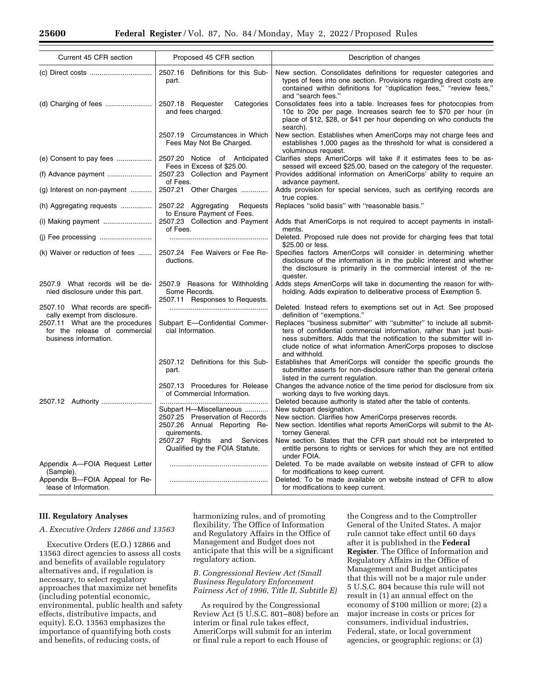| Current 45 CFR section                                                                    | Proposed 45 CFR section                                                           | Description of changes                                                                                                                                                                                                                                                                                     |
|-------------------------------------------------------------------------------------------|-----------------------------------------------------------------------------------|------------------------------------------------------------------------------------------------------------------------------------------------------------------------------------------------------------------------------------------------------------------------------------------------------------|
|                                                                                           |                                                                                   |                                                                                                                                                                                                                                                                                                            |
|                                                                                           | 2507.16 Definitions for this Sub-<br>part.                                        | New section. Consolidates definitions for requester categories and<br>types of fees into one section. Provisions regarding direct costs are<br>contained within definitions for "duplication fees," "review fees,"<br>and "search fees."                                                                   |
|                                                                                           | 2507.18 Requester<br>Categories<br>and fees charged.                              | Consolidates fees into a table. Increases fees for photocopies from<br>10¢ to 20¢ per page. Increases search fee to \$70 per hour (in<br>place of \$12, \$28, or \$41 per hour depending on who conducts the<br>search).                                                                                   |
|                                                                                           | 2507.19 Circumstances in Which<br>Fees May Not Be Charged.                        | New section. Establishes when AmeriCorps may not charge fees and<br>establishes 1,000 pages as the threshold for what is considered a<br>voluminous request.                                                                                                                                               |
|                                                                                           | 2507.20 Notice of Anticipated<br>Fees in Excess of \$25.00.                       | Clarifies steps AmeriCorps will take if it estimates fees to be as-<br>sessed will exceed \$25.00, based on the category of the requester.                                                                                                                                                                 |
|                                                                                           | 2507.23 Collection and Payment<br>of Fees.                                        | Provides additional information on AmeriCorps' ability to require an<br>advance payment.                                                                                                                                                                                                                   |
| (g) Interest on non-payment                                                               | 2507.21 Other Charges                                                             | Adds provision for special services, such as certifying records are<br>true copies.                                                                                                                                                                                                                        |
| (h) Aggregating requests                                                                  | 2507.22 Aggregating Requests<br>to Ensure Payment of Fees.                        | Replaces "solid basis" with "reasonable basis."                                                                                                                                                                                                                                                            |
| (i) Making payment                                                                        | 2507.23 Collection and Payment<br>of Fees.                                        | Adds that AmeriCorps is not required to accept payments in install-<br>ments.                                                                                                                                                                                                                              |
| (j) Fee processing                                                                        |                                                                                   | Deleted. Proposed rule does not provide for charging fees that total<br>\$25.00 or less.                                                                                                                                                                                                                   |
| (k) Waiver or reduction of fees                                                           | 2507.24 Fee Waivers or Fee Re-<br>ductions.                                       | Specifies factors AmeriCorps will consider in determining whether<br>disclosure of the information is in the public interest and whether<br>the disclosure is primarily in the commercial interest of the re-<br>quester.                                                                                  |
| 2507.9 What records will be de-<br>nied disclosure under this part.                       | 2507.9 Reasons for Withholding<br>Some Records.<br>2507.11 Responses to Requests. | Adds steps AmeriCorps will take in documenting the reason for with-<br>holding. Adds expiration to deliberative process of Exemption 5.                                                                                                                                                                    |
| 2507.10 What records are specifi-<br>cally exempt from disclosure.                        |                                                                                   | Deleted. Instead refers to exemptions set out in Act. See proposed<br>definition of "exemptions."                                                                                                                                                                                                          |
| 2507.11 What are the procedures<br>for the release of commercial<br>business information. | Subpart E-Confidential Commer-<br>cial Information.                               | Replaces "business submitter" with "submitter" to include all submit-<br>ters of confidential commercial information, rather than just busi-<br>ness submitters. Adds that the notification to the submitter will in-<br>clude notice of what information AmeriCorps proposes to disclose<br>and withhold. |
|                                                                                           | 2507.12 Definitions for this Sub-<br>part.                                        | Establishes that AmeriCorps will consider the specific grounds the<br>submitter asserts for non-disclosure rather than the general criteria<br>listed in the current regulation.                                                                                                                           |
|                                                                                           | 2507.13 Procedures for Release<br>of Commercial Information.                      | Changes the advance notice of the time period for disclosure from six<br>working days to five working days.                                                                                                                                                                                                |
| 2507.12 Authority                                                                         | Subpart H-Miscellaneous                                                           | Deleted because authority is stated after the table of contents.<br>New subpart designation.                                                                                                                                                                                                               |
|                                                                                           | 2507.25 Preservation of Records<br>2507.26 Annual Reporting Re-<br>quirements.    | New section. Clarifies how AmeriCorps preserves records.<br>New section. Identifies what reports AmeriCorps will submit to the At-<br>torney General.                                                                                                                                                      |
|                                                                                           | 2507.27 Rights and Services<br>Qualified by the FOIA Statute.                     | New section. States that the CFR part should not be interpreted to<br>entitle persons to rights or services for which they are not entitled<br>under FOIA.                                                                                                                                                 |
| Appendix A-FOIA Request Letter<br>(Sample).                                               |                                                                                   | Deleted. To be made available on website instead of CFR to allow<br>for modifications to keep current.                                                                                                                                                                                                     |
| Appendix B-FOIA Appeal for Re-<br>lease of Information.                                   |                                                                                   | Deleted. To be made available on website instead of CFR to allow<br>for modifications to keep current.                                                                                                                                                                                                     |

#### **III. Regulatory Analyses**

## *A. Executive Orders 12866 and 13563*

Executive Orders (E.O.) 12866 and 13563 direct agencies to assess all costs and benefits of available regulatory alternatives and, if regulation is necessary, to select regulatory approaches that maximize net benefits (including potential economic, environmental, public health and safety effects, distributive impacts, and equity). E.O. 13563 emphasizes the importance of quantifying both costs and benefits, of reducing costs, of

harmonizing rules, and of promoting flexibility. The Office of Information and Regulatory Affairs in the Office of Management and Budget does not anticipate that this will be a significant regulatory action.

*B. Congressional Review Act (Small Business Regulatory Enforcement Fairness Act of 1996, Title II, Subtitle E)* 

As required by the Congressional Review Act (5 U.S.C. 801–808) before an interim or final rule takes effect, AmeriCorps will submit for an interim or final rule a report to each House of

the Congress and to the Comptroller General of the United States. A major rule cannot take effect until 60 days after it is published in the **Federal Register**. The Office of Information and Regulatory Affairs in the Office of Management and Budget anticipates that this will not be a major rule under 5 U.S.C. 804 because this rule will not result in (1) an annual effect on the economy of \$100 million or more; (2) a major increase in costs or prices for consumers, individual industries, Federal, state, or local government agencies, or geographic regions; or (3)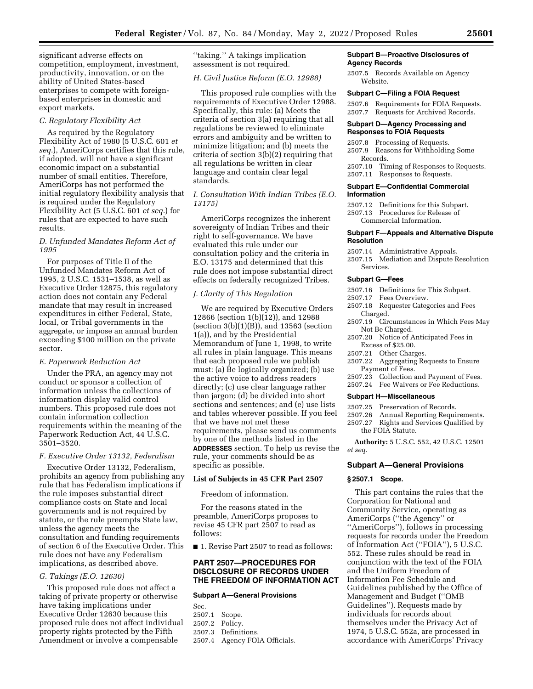significant adverse effects on competition, employment, investment, productivity, innovation, or on the ability of United States-based enterprises to compete with foreignbased enterprises in domestic and export markets.

#### *C. Regulatory Flexibility Act*

As required by the Regulatory Flexibility Act of 1980 (5 U.S.C. 601 *et seq.*), AmeriCorps certifies that this rule, if adopted, will not have a significant economic impact on a substantial number of small entities. Therefore, AmeriCorps has not performed the initial regulatory flexibility analysis that is required under the Regulatory Flexibility Act (5 U.S.C. 601 *et seq.*) for rules that are expected to have such results.

## *D. Unfunded Mandates Reform Act of 1995*

For purposes of Title II of the Unfunded Mandates Reform Act of 1995, 2 U.S.C. 1531–1538, as well as Executive Order 12875, this regulatory action does not contain any Federal mandate that may result in increased expenditures in either Federal, State, local, or Tribal governments in the aggregate, or impose an annual burden exceeding \$100 million on the private sector.

#### *E. Paperwork Reduction Act*

Under the PRA, an agency may not conduct or sponsor a collection of information unless the collections of information display valid control numbers. This proposed rule does not contain information collection requirements within the meaning of the Paperwork Reduction Act, 44 U.S.C. 3501–3520.

#### *F. Executive Order 13132, Federalism*

Executive Order 13132, Federalism, prohibits an agency from publishing any rule that has Federalism implications if the rule imposes substantial direct compliance costs on State and local governments and is not required by statute, or the rule preempts State law, unless the agency meets the consultation and funding requirements of section 6 of the Executive Order. This rule does not have any Federalism implications, as described above.

#### *G. Takings (E.O. 12630)*

This proposed rule does not affect a taking of private property or otherwise have taking implications under Executive Order 12630 because this proposed rule does not affect individual property rights protected by the Fifth Amendment or involve a compensable

''taking.'' A takings implication assessment is not required.

## *H. Civil Justice Reform (E.O. 12988)*

This proposed rule complies with the requirements of Executive Order 12988. Specifically, this rule: (a) Meets the criteria of section 3(a) requiring that all regulations be reviewed to eliminate errors and ambiguity and be written to minimize litigation; and (b) meets the criteria of section 3(b)(2) requiring that all regulations be written in clear language and contain clear legal standards.

## *I. Consultation With Indian Tribes (E.O. 13175)*

AmeriCorps recognizes the inherent sovereignty of Indian Tribes and their right to self-governance. We have evaluated this rule under our consultation policy and the criteria in E.O. 13175 and determined that this rule does not impose substantial direct effects on federally recognized Tribes.

# *J. Clarity of This Regulation*

We are required by Executive Orders 12866 (section 1(b)(12)), and 12988 (section  $3(b)(1)(B)$ ), and 13563 (section 1(a)), and by the Presidential Memorandum of June 1, 1998, to write all rules in plain language. This means that each proposed rule we publish must: (a) Be logically organized; (b) use the active voice to address readers directly; (c) use clear language rather than jargon; (d) be divided into short sections and sentences; and (e) use lists and tables wherever possible. If you feel that we have not met these requirements, please send us comments by one of the methods listed in the **ADDRESSES** section. To help us revise the rule, your comments should be as specific as possible.

#### **List of Subjects in 45 CFR Part 2507**

Freedom of information.

For the reasons stated in the preamble, AmeriCorps proposes to revise 45 CFR part 2507 to read as follows:

■ 1. Revise Part 2507 to read as follows:

#### **PART 2507—PROCEDURES FOR DISCLOSURE OF RECORDS UNDER THE FREEDOM OF INFORMATION ACT**

## **Subpart A—General Provisions**

Sec. 2507.1 Scope. 2507.2 Policy. 2507.3 Definitions. 2507.4 Agency FOIA Officials.

#### **Subpart B—Proactive Disclosures of Agency Records**

2507.5 Records Available on Agency Website.

#### **Subpart C—Filing a FOIA Request**

2507.6 Requirements for FOIA Requests. 2507.7 Requests for Archived Records.

#### **Subpart D—Agency Processing and Responses to FOIA Requests**

2507.8 Processing of Requests.

2507.9 Reasons for Withholding Some Records.

2507.10 Timing of Responses to Requests. 2507.11 Responses to Requests.

#### **Subpart E—Confidential Commercial Information**

- 2507.12 Definitions for this Subpart.
- 2507.13 Procedures for Release of Commercial Information.
- **Subpart F—Appeals and Alternative Dispute**

# **Resolution**

- 2507.14 Administrative Appeals.
- 2507.15 Mediation and Dispute Resolution Services.

#### **Subpart G—Fees**

- 2507.16 Definitions for This Subpart.
- 2507.17 Fees Overview.
- 2507.18 Requester Categories and Fees Charged.
- 2507.19 Circumstances in Which Fees May Not Be Charged.
- 2507.20 Notice of Anticipated Fees in Excess of \$25.00.
- 2507.21 Other Charges.
- 2507.22 Aggregating Requests to Ensure Payment of Fees.
- 2507.23 Collection and Payment of Fees.
- 2507.24 Fee Waivers or Fee Reductions.

## **Subpart H—Miscellaneous**

- 2507.25 Preservation of Records.
- 2507.26 Annual Reporting Requirements.
- 2507.27 Rights and Services Qualified by the FOIA Statute.

**Authority:** 5 U.S.C. 552, 42 U.S.C. 12501 *et seq.* 

#### **Subpart A—General Provisions**

#### **§ 2507.1 Scope.**

This part contains the rules that the Corporation for National and Community Service, operating as AmeriCorps (''the Agency'' or ''AmeriCorps''), follows in processing requests for records under the Freedom of Information Act (''FOIA''), 5 U.S.C. 552. These rules should be read in conjunction with the text of the FOIA and the Uniform Freedom of Information Fee Schedule and Guidelines published by the Office of Management and Budget (''OMB Guidelines''). Requests made by individuals for records about themselves under the Privacy Act of 1974, 5 U.S.C. 552a, are processed in accordance with AmeriCorps' Privacy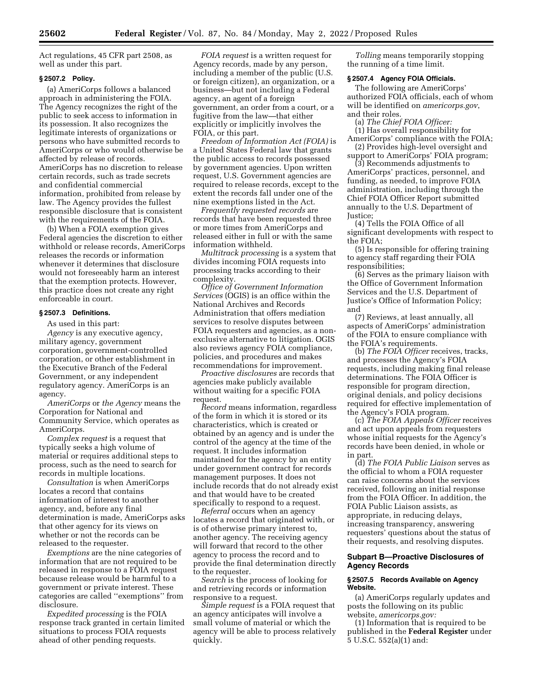Act regulations, 45 CFR part 2508, as well as under this part.

## **§ 2507.2 Policy.**

(a) AmeriCorps follows a balanced approach in administering the FOIA. The Agency recognizes the right of the public to seek access to information in its possession. It also recognizes the legitimate interests of organizations or persons who have submitted records to AmeriCorps or who would otherwise be affected by release of records. AmeriCorps has no discretion to release certain records, such as trade secrets and confidential commercial information, prohibited from release by law. The Agency provides the fullest responsible disclosure that is consistent with the requirements of the FOIA.

(b) When a FOIA exemption gives Federal agencies the discretion to either withhold or release records, AmeriCorps releases the records or information whenever it determines that disclosure would not foreseeably harm an interest that the exemption protects. However, this practice does not create any right enforceable in court.

#### **§ 2507.3 Definitions.**

As used in this part:

*Agency* is any executive agency, military agency, government corporation, government-controlled corporation, or other establishment in the Executive Branch of the Federal Government, or any independent regulatory agency. AmeriCorps is an agency.

*AmeriCorps* or *the Agency* means the Corporation for National and Community Service, which operates as AmeriCorps.

*Complex request* is a request that typically seeks a high volume of material or requires additional steps to process, such as the need to search for records in multiple locations.

*Consultation* is when AmeriCorps locates a record that contains information of interest to another agency, and, before any final determination is made, AmeriCorps asks that other agency for its views on whether or not the records can be released to the requester.

*Exemptions* are the nine categories of information that are not required to be released in response to a FOIA request because release would be harmful to a government or private interest. These categories are called ''exemptions'' from disclosure.

*Expedited processing* is the FOIA response track granted in certain limited situations to process FOIA requests ahead of other pending requests.

*FOIA request* is a written request for Agency records, made by any person, including a member of the public (U.S. or foreign citizen), an organization, or a business—but not including a Federal agency, an agent of a foreign government, an order from a court, or a fugitive from the law—that either explicitly or implicitly involves the FOIA, or this part.

*Freedom of Information Act (FOIA)* is a United States Federal law that grants the public access to records possessed by government agencies. Upon written request, U.S. Government agencies are required to release records, except to the extent the records fall under one of the nine exemptions listed in the Act.

*Frequently requested records* are records that have been requested three or more times from AmeriCorps and released either in full or with the same information withheld.

*Multitrack processing* is a system that divides incoming FOIA requests into processing tracks according to their complexity.

*Office of Government Information Services* (OGIS) is an office within the National Archives and Records Administration that offers mediation services to resolve disputes between FOIA requesters and agencies, as a nonexclusive alternative to litigation. OGIS also reviews agency FOIA compliance, policies, and procedures and makes recommendations for improvement.

*Proactive disclosures* are records that agencies make publicly available without waiting for a specific FOIA request.

*Record* means information, regardless of the form in which it is stored or its characteristics, which is created or obtained by an agency and is under the control of the agency at the time of the request. It includes information maintained for the agency by an entity under government contract for records management purposes. It does not include records that do not already exist and that would have to be created specifically to respond to a request.

*Referral* occurs when an agency locates a record that originated with, or is of otherwise primary interest to, another agency. The receiving agency will forward that record to the other agency to process the record and to provide the final determination directly to the requester.

*Search* is the process of looking for and retrieving records or information responsive to a request.

*Simple request* is a FOIA request that an agency anticipates will involve a small volume of material or which the agency will be able to process relatively quickly.

*Tolling* means temporarily stopping the running of a time limit.

# **§ 2507.4 Agency FOIA Officials.**

The following are AmeriCorps' authorized FOIA officials, each of whom will be identified on *americorps.gov*, and their roles.

(a) *The Chief FOIA Officer:*  (1) Has overall responsibility for AmeriCorps' compliance with the FOIA;

(2) Provides high-level oversight and support to AmeriCorps' FOIA program;

(3) Recommends adjustments to AmeriCorps' practices, personnel, and funding, as needed, to improve FOIA administration, including through the Chief FOIA Officer Report submitted annually to the U.S. Department of Justice;

(4) Tells the FOIA Office of all significant developments with respect to the FOIA;

(5) Is responsible for offering training to agency staff regarding their FOIA responsibilities;

(6) Serves as the primary liaison with the Office of Government Information Services and the U.S. Department of Justice's Office of Information Policy; and

(7) Reviews, at least annually, all aspects of AmeriCorps' administration of the FOIA to ensure compliance with the FOIA's requirements.

(b) *The FOIA Officer* receives, tracks, and processes the Agency's FOIA requests, including making final release determinations. The FOIA Officer is responsible for program direction, original denials, and policy decisions required for effective implementation of the Agency's FOIA program.

(c) *The FOIA Appeals Officer* receives and act upon appeals from requesters whose initial requests for the Agency's records have been denied, in whole or in part.

(d) *The FOIA Public Liaison* serves as the official to whom a FOIA requester can raise concerns about the services received, following an initial response from the FOIA Officer. In addition, the FOIA Public Liaison assists, as appropriate, in reducing delays, increasing transparency, answering requesters' questions about the status of their requests, and resolving disputes.

#### **Subpart B—Proactive Disclosures of Agency Records**

#### **§ 2507.5 Records Available on Agency Website.**

(a) AmeriCorps regularly updates and posts the following on its public website, *americorps.gov:* 

(1) Information that is required to be published in the **Federal Register** under 5 U.S.C. 552(a)(1) and: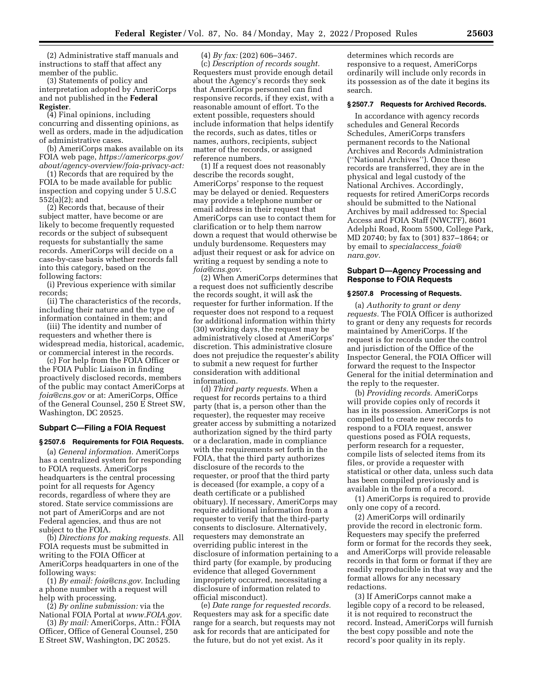(2) Administrative staff manuals and instructions to staff that affect any member of the public.

(3) Statements of policy and interpretation adopted by AmeriCorps and not published in the **Federal Register**.

(4) Final opinions, including concurring and dissenting opinions, as well as orders, made in the adjudication of administrative cases.

(b) AmeriCorps makes available on its FOIA web page, *<https://americorps.gov/> about/agency-overview/foia-privacy-act:* 

(1) Records that are required by the FOIA to be made available for public inspection and copying under 5 U.S.C 552(a)(2); and

(2) Records that, because of their subject matter, have become or are likely to become frequently requested records or the subject of subsequent requests for substantially the same records. AmeriCorps will decide on a case-by-case basis whether records fall into this category, based on the following factors:

(i) Previous experience with similar records;

(ii) The characteristics of the records, including their nature and the type of information contained in them; and

(iii) The identity and number of requesters and whether there is widespread media, historical, academic, or commercial interest in the records.

(c) For help from the FOIA Officer or the FOIA Public Liaison in finding proactively disclosed records, members of the public may contact AmeriCorps at *[foia@cns.gov](mailto:foia@cns.gov)* or at: AmeriCorps, Office of the General Counsel, 250 E Street SW, Washington, DC 20525.

#### **Subpart C—Filing a FOIA Request**

#### **§ 2507.6 Requirements for FOIA Requests.**

(a) *General information.* AmeriCorps has a centralized system for responding to FOIA requests. AmeriCorps headquarters is the central processing point for all requests for Agency records, regardless of where they are stored. State service commissions are not part of AmeriCorps and are not Federal agencies, and thus are not subject to the FOIA.

(b) *Directions for making requests.* All FOIA requests must be submitted in writing to the FOIA Officer at AmeriCorps headquarters in one of the following ways:

(1) *By email: [foia@cns.gov.](mailto:foia@cns.gov)* Including a phone number with a request will help with processing.

(2) *By online submission:* via the National FOIA Portal at *[www.FOIA.gov.](http://www.FOIA.gov)* 

(3) *By mail:* AmeriCorps, Attn.: FOIA Officer, Office of General Counsel, 250 E Street SW, Washington, DC 20525.

(4) *By fax:* (202) 606–3467. (c) *Description of records sought.*  Requesters must provide enough detail about the Agency's records they seek that AmeriCorps personnel can find responsive records, if they exist, with a reasonable amount of effort. To the extent possible, requesters should include information that helps identify the records, such as dates, titles or names, authors, recipients, subject matter of the records, or assigned reference numbers.

(1) If a request does not reasonably describe the records sought, AmeriCorps' response to the request may be delayed or denied. Requesters may provide a telephone number or email address in their request that AmeriCorps can use to contact them for clarification or to help them narrow down a request that would otherwise be unduly burdensome. Requesters may adjust their request or ask for advice on writing a request by sending a note to *[foia@cns.gov.](mailto:foia@cns.gov)* 

(2) When AmeriCorps determines that a request does not sufficiently describe the records sought, it will ask the requester for further information. If the requester does not respond to a request for additional information within thirty (30) working days, the request may be administratively closed at AmeriCorps' discretion. This administrative closure does not prejudice the requester's ability to submit a new request for further consideration with additional information.

(d) *Third party requests.* When a request for records pertains to a third party (that is, a person other than the requester), the requester may receive greater access by submitting a notarized authorization signed by the third party or a declaration, made in compliance with the requirements set forth in the FOIA, that the third party authorizes disclosure of the records to the requester, or proof that the third party is deceased (for example, a copy of a death certificate or a published obituary). If necessary, AmeriCorps may require additional information from a requester to verify that the third-party consents to disclosure. Alternatively, requesters may demonstrate an overriding public interest in the disclosure of information pertaining to a third party (for example, by producing evidence that alleged Government impropriety occurred, necessitating a disclosure of information related to official misconduct).

(e) *Date range for requested records.*  Requesters may ask for a specific date range for a search, but requests may not ask for records that are anticipated for the future, but do not yet exist. As it

determines which records are responsive to a request, AmeriCorps ordinarily will include only records in its possession as of the date it begins its search.

#### **§ 2507.7 Requests for Archived Records.**

In accordance with agency records schedules and General Records Schedules, AmeriCorps transfers permanent records to the National Archives and Records Administration (''National Archives''). Once these records are transferred, they are in the physical and legal custody of the National Archives. Accordingly, requests for retired AmeriCorps records should be submitted to the National Archives by mail addressed to: Special Access and FOIA Staff (NWCTF), 8601 Adelphi Road, Room 5500, College Park, MD 20740; by fax to (301) 837–1864; or by email to *[specialaccess](mailto:specialaccess_foia@nara.gov)*\_*foia@ [nara.gov.](mailto:specialaccess_foia@nara.gov)* 

## **Subpart D—Agency Processing and Response to FOIA Requests**

## **§ 2507.8 Processing of Requests.**

(a) *Authority to grant or deny requests.* The FOIA Officer is authorized to grant or deny any requests for records maintained by AmeriCorps. If the request is for records under the control and jurisdiction of the Office of the Inspector General, the FOIA Officer will forward the request to the Inspector General for the initial determination and the reply to the requester.

(b) *Providing records.* AmeriCorps will provide copies only of records it has in its possession. AmeriCorps is not compelled to create new records to respond to a FOIA request, answer questions posed as FOIA requests, perform research for a requester, compile lists of selected items from its files, or provide a requester with statistical or other data, unless such data has been compiled previously and is available in the form of a record.

(1) AmeriCorps is required to provide only one copy of a record.

(2) AmeriCorps will ordinarily provide the record in electronic form. Requesters may specify the preferred form or format for the records they seek, and AmeriCorps will provide releasable records in that form or format if they are readily reproducible in that way and the format allows for any necessary redactions.

(3) If AmeriCorps cannot make a legible copy of a record to be released, it is not required to reconstruct the record. Instead, AmeriCorps will furnish the best copy possible and note the record's poor quality in its reply.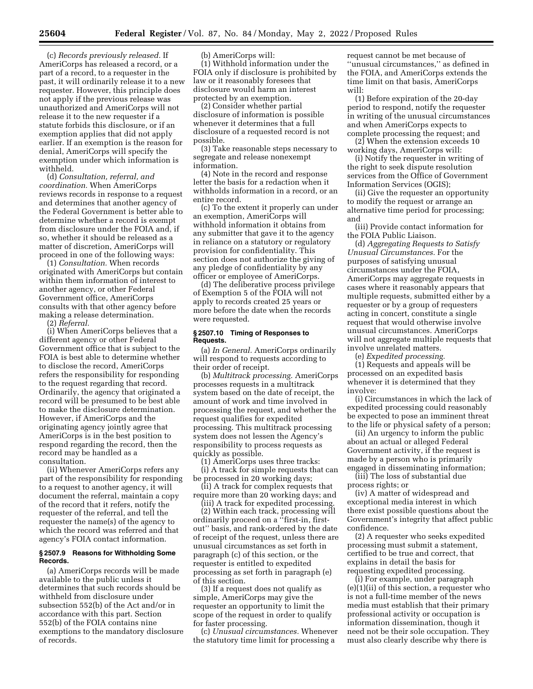(c) *Records previously released.* If AmeriCorps has released a record, or a part of a record, to a requester in the past, it will ordinarily release it to a new requester. However, this principle does not apply if the previous release was unauthorized and AmeriCorps will not release it to the new requester if a statute forbids this disclosure, or if an exemption applies that did not apply earlier. If an exemption is the reason for denial, AmeriCorps will specify the exemption under which information is withheld.

(d) *Consultation, referral, and coordination.* When AmeriCorps reviews records in response to a request and determines that another agency of the Federal Government is better able to determine whether a record is exempt from disclosure under the FOIA and, if so, whether it should be released as a matter of discretion, AmeriCorps will proceed in one of the following ways:

(1) *Consultation.* When records originated with AmeriCorps but contain within them information of interest to another agency, or other Federal Government office, AmeriCorps consults with that other agency before making a release determination.

(2) *Referral.* 

(i) When AmeriCorps believes that a different agency or other Federal Government office that is subject to the FOIA is best able to determine whether to disclose the record, AmeriCorps refers the responsibility for responding to the request regarding that record. Ordinarily, the agency that originated a record will be presumed to be best able to make the disclosure determination. However, if AmeriCorps and the originating agency jointly agree that AmeriCorps is in the best position to respond regarding the record, then the record may be handled as a consultation.

(ii) Whenever AmeriCorps refers any part of the responsibility for responding to a request to another agency, it will document the referral, maintain a copy of the record that it refers, notify the requester of the referral, and tell the requester the name(s) of the agency to which the record was referred and that agency's FOIA contact information.

#### **§ 2507.9 Reasons for Withholding Some Records.**

(a) AmeriCorps records will be made available to the public unless it determines that such records should be withheld from disclosure under subsection 552(b) of the Act and/or in accordance with this part. Section 552(b) of the FOIA contains nine exemptions to the mandatory disclosure of records.

(b) AmeriCorps will:

(1) Withhold information under the FOIA only if disclosure is prohibited by law or it reasonably foresees that disclosure would harm an interest protected by an exemption.

(2) Consider whether partial disclosure of information is possible whenever it determines that a full disclosure of a requested record is not possible.

(3) Take reasonable steps necessary to segregate and release nonexempt information.

(4) Note in the record and response letter the basis for a redaction when it withholds information in a record, or an entire record.

(c) To the extent it properly can under an exemption, AmeriCorps will withhold information it obtains from any submitter that gave it to the agency in reliance on a statutory or regulatory provision for confidentiality. This section does not authorize the giving of any pledge of confidentiality by any officer or employee of AmeriCorps.

(d) The deliberative process privilege of Exemption 5 of the FOIA will not apply to records created 25 years or more before the date when the records were requested.

#### **§ 2507.10 Timing of Responses to Requests.**

(a) *In General.* AmeriCorps ordinarily will respond to requests according to their order of receipt.

(b) *Multitrack processing.* AmeriCorps processes requests in a multitrack system based on the date of receipt, the amount of work and time involved in processing the request, and whether the request qualifies for expedited processing. This multitrack processing system does not lessen the Agency's responsibility to process requests as quickly as possible.

(1) AmeriCorps uses three tracks: (i) A track for simple requests that can be processed in 20 working days;

(ii) A track for complex requests that require more than 20 working days; and

(iii) A track for expedited processing.

(2) Within each track, processing will ordinarily proceed on a ''first-in, firstout'' basis, and rank-ordered by the date of receipt of the request, unless there are unusual circumstances as set forth in paragraph (c) of this section, or the requester is entitled to expedited processing as set forth in paragraph (e) of this section.

(3) If a request does not qualify as simple, AmeriCorps may give the requester an opportunity to limit the scope of the request in order to qualify for faster processing.

(c) *Unusual circumstances.* Whenever the statutory time limit for processing a

request cannot be met because of ''unusual circumstances,'' as defined in the FOIA, and AmeriCorps extends the time limit on that basis, AmeriCorps will:

(1) Before expiration of the 20-day period to respond, notify the requester in writing of the unusual circumstances and when AmeriCorps expects to complete processing the request; and

(2) When the extension exceeds 10 working days, AmeriCorps will:

(i) Notify the requester in writing of the right to seek dispute resolution services from the Office of Government Information Services (OGIS);

(ii) Give the requester an opportunity to modify the request or arrange an alternative time period for processing; and

(iii) Provide contact information for the FOIA Public Liaison.

(d) *Aggregating Requests to Satisfy Unusual Circumstances.* For the purposes of satisfying unusual circumstances under the FOIA, AmeriCorps may aggregate requests in cases where it reasonably appears that multiple requests, submitted either by a requester or by a group of requesters acting in concert, constitute a single request that would otherwise involve unusual circumstances. AmeriCorps will not aggregate multiple requests that involve unrelated matters.

(e) *Expedited processing.* 

(1) Requests and appeals will be processed on an expedited basis whenever it is determined that they involve:

(i) Circumstances in which the lack of expedited processing could reasonably be expected to pose an imminent threat to the life or physical safety of a person;

(ii) An urgency to inform the public about an actual or alleged Federal Government activity, if the request is made by a person who is primarily engaged in disseminating information;

(iii) The loss of substantial due process rights; or

(iv) A matter of widespread and exceptional media interest in which there exist possible questions about the Government's integrity that affect public confidence.

(2) A requester who seeks expedited processing must submit a statement, certified to be true and correct, that explains in detail the basis for requesting expedited processing.

(i) For example, under paragraph (e)(1)(ii) of this section, a requester who is not a full-time member of the news media must establish that their primary professional activity or occupation is information dissemination, though it need not be their sole occupation. They must also clearly describe why there is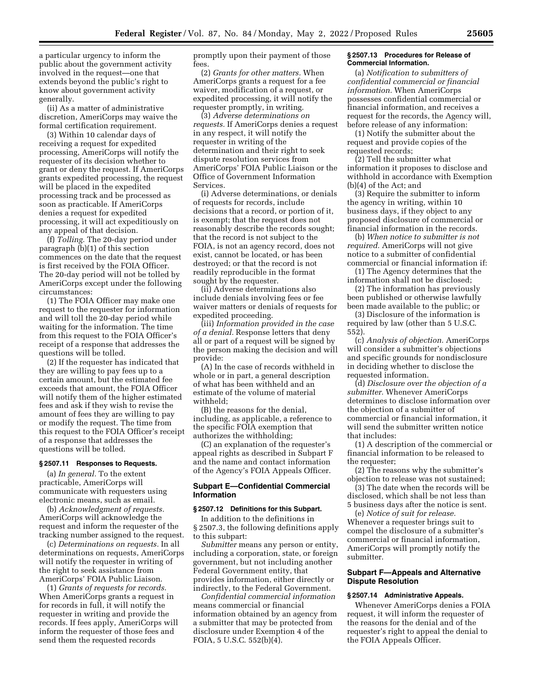a particular urgency to inform the public about the government activity involved in the request—one that extends beyond the public's right to know about government activity generally.

(ii) As a matter of administrative discretion, AmeriCorps may waive the formal certification requirement.

(3) Within 10 calendar days of receiving a request for expedited processing, AmeriCorps will notify the requester of its decision whether to grant or deny the request. If AmeriCorps grants expedited processing, the request will be placed in the expedited processing track and be processed as soon as practicable. If AmeriCorps denies a request for expedited processing, it will act expeditiously on any appeal of that decision.

(f) *Tolling.* The 20-day period under paragraph (b)(1) of this section commences on the date that the request is first received by the FOIA Officer. The 20-day period will not be tolled by AmeriCorps except under the following circumstances:

(1) The FOIA Officer may make one request to the requester for information and will toll the 20-day period while waiting for the information. The time from this request to the FOIA Officer's receipt of a response that addresses the questions will be tolled.

(2) If the requester has indicated that they are willing to pay fees up to a certain amount, but the estimated fee exceeds that amount, the FOIA Officer will notify them of the higher estimated fees and ask if they wish to revise the amount of fees they are willing to pay or modify the request. The time from this request to the FOIA Officer's receipt of a response that addresses the questions will be tolled.

#### **§ 2507.11 Responses to Requests.**

(a) *In general.* To the extent practicable, AmeriCorps will communicate with requesters using electronic means, such as email.

(b) *Acknowledgment of requests.*  AmeriCorps will acknowledge the request and inform the requester of the tracking number assigned to the request.

(c) *Determinations on requests.* In all determinations on requests, AmeriCorps will notify the requester in writing of the right to seek assistance from AmeriCorps' FOIA Public Liaison.

(1) *Grants of requests for records.*  When AmeriCorps grants a request in for records in full, it will notify the requester in writing and provide the records. If fees apply, AmeriCorps will inform the requester of those fees and send them the requested records

promptly upon their payment of those fees.

(2) *Grants for other matters.* When AmeriCorps grants a request for a fee waiver, modification of a request, or expedited processing, it will notify the requester promptly, in writing.

(3) *Adverse determinations on requests.* If AmeriCorps denies a request in any respect, it will notify the requester in writing of the determination and their right to seek dispute resolution services from AmeriCorps' FOIA Public Liaison or the Office of Government Information Services.

(i) Adverse determinations, or denials of requests for records, include decisions that a record, or portion of it, is exempt; that the request does not reasonably describe the records sought; that the record is not subject to the FOIA, is not an agency record, does not exist, cannot be located, or has been destroyed; or that the record is not readily reproducible in the format sought by the requester.

(ii) Adverse determinations also include denials involving fees or fee waiver matters or denials of requests for expedited proceeding.

(iii) *Information provided in the case of a denial.* Response letters that deny all or part of a request will be signed by the person making the decision and will provide:

(A) In the case of records withheld in whole or in part, a general description of what has been withheld and an estimate of the volume of material withheld;

(B) the reasons for the denial, including, as applicable, a reference to the specific FOIA exemption that authorizes the withholding;

(C) an explanation of the requester's appeal rights as described in Subpart F and the name and contact information of the Agency's FOIA Appeals Officer.

## **Subpart E—Confidential Commercial Information**

#### **§ 2507.12 Definitions for this Subpart.**

In addition to the definitions in § 2507.3, the following definitions apply to this subpart:

*Submitter* means any person or entity, including a corporation, state, or foreign government, but not including another Federal Government entity, that provides information, either directly or indirectly, to the Federal Government.

*Confidential commercial information*  means commercial or financial information obtained by an agency from a submitter that may be protected from disclosure under Exemption 4 of the FOIA, 5 U.S.C. 552(b)(4).

## **§ 2507.13 Procedures for Release of Commercial Information.**

(a) *Notification to submitters of confidential commercial or financial information.* When AmeriCorps possesses confidential commercial or financial information, and receives a request for the records, the Agency will, before release of any information:

(1) Notify the submitter about the request and provide copies of the requested records;

(2) Tell the submitter what information it proposes to disclose and withhold in accordance with Exemption (b)(4) of the Act; and

(3) Require the submitter to inform the agency in writing, within 10 business days, if they object to any proposed disclosure of commercial or financial information in the records.

(b) *When notice to submitter is not required.* AmeriCorps will not give notice to a submitter of confidential commercial or financial information if:

(1) The Agency determines that the information shall not be disclosed;

(2) The information has previously been published or otherwise lawfully been made available to the public; or

(3) Disclosure of the information is required by law (other than 5 U.S.C. 552).

(c) *Analysis of objection.* AmeriCorps will consider a submitter's objections and specific grounds for nondisclosure in deciding whether to disclose the requested information.

(d) *Disclosure over the objection of a submitter.* Whenever AmeriCorps determines to disclose information over the objection of a submitter of commercial or financial information, it will send the submitter written notice that includes:

(1) A description of the commercial or financial information to be released to the requester;

(2) The reasons why the submitter's objection to release was not sustained;

(3) The date when the records will be disclosed, which shall be not less than 5 business days after the notice is sent.

(e) *Notice of suit for release.*  Whenever a requester brings suit to compel the disclosure of a submitter's commercial or financial information, AmeriCorps will promptly notify the submitter.

## **Subpart F—Appeals and Alternative Dispute Resolution**

## **§ 2507.14 Administrative Appeals.**

Whenever AmeriCorps denies a FOIA request, it will inform the requester of the reasons for the denial and of the requester's right to appeal the denial to the FOIA Appeals Officer.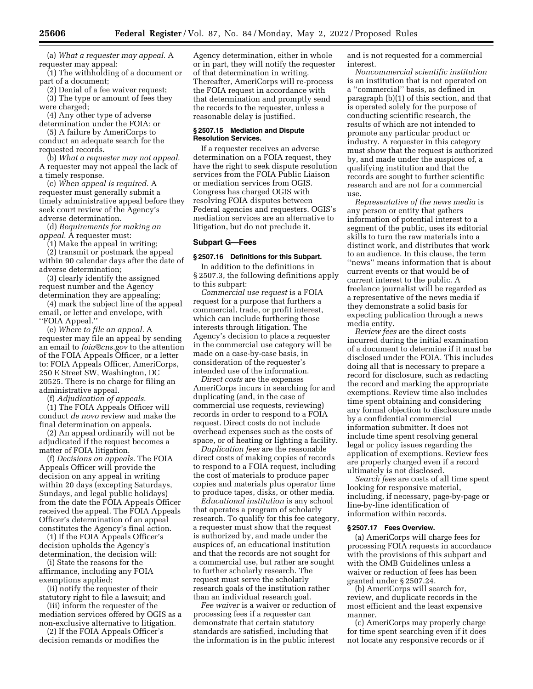(a) *What a requester may appeal.* A requester may appeal:

(1) The withholding of a document or part of a document;

(2) Denial of a fee waiver request;

(3) The type or amount of fees they were charged;

(4) Any other type of adverse

determination under the FOIA; or (5) A failure by AmeriCorps to

conduct an adequate search for the requested records.

(b) *What a requester may not appeal.*  A requester may not appeal the lack of a timely response.

(c) *When appeal is required.* A requester must generally submit a timely administrative appeal before they seek court review of the Agency's adverse determination.

(d) *Requirements for making an appeal.* A requester must:

(1) Make the appeal in writing;

(2) transmit or postmark the appeal within 90 calendar days after the date of adverse determination;

(3) clearly identify the assigned request number and the Agency determination they are appealing;

(4) mark the subject line of the appeal email, or letter and envelope, with ''FOIA Appeal.''

(e) *Where to file an appeal.* A requester may file an appeal by sending an email to *[foia@cns.gov](mailto:foia@cns.gov)* to the attention of the FOIA Appeals Officer, or a letter to: FOIA Appeals Officer, AmeriCorps, 250 E Street SW, Washington, DC 20525. There is no charge for filing an administrative appeal.

(f) *Adjudication of appeals.* 

(1) The FOIA Appeals Officer will conduct *de novo* review and make the final determination on appeals.

(2) An appeal ordinarily will not be adjudicated if the request becomes a matter of FOIA litigation.

(f) *Decisions on appeals.* The FOIA Appeals Officer will provide the decision on any appeal in writing within 20 days (excepting Saturdays, Sundays, and legal public holidays) from the date the FOIA Appeals Officer received the appeal. The FOIA Appeals Officer's determination of an appeal constitutes the Agency's final action.

(1) If the FOIA Appeals Officer's decision upholds the Agency's determination, the decision will:

(i) State the reasons for the affirmance, including any FOIA exemptions applied;

(ii) notify the requester of their statutory right to file a lawsuit; and

(iii) inform the requester of the mediation services offered by OGIS as a non-exclusive alternative to litigation.

(2) If the FOIA Appeals Officer's decision remands or modifies the

Agency determination, either in whole or in part, they will notify the requester of that determination in writing. Thereafter, AmeriCorps will re-process the FOIA request in accordance with that determination and promptly send the records to the requester, unless a reasonable delay is justified.

## **§ 2507.15 Mediation and Dispute Resolution Services.**

If a requester receives an adverse determination on a FOIA request, they have the right to seek dispute resolution services from the FOIA Public Liaison or mediation services from OGIS. Congress has charged OGIS with resolving FOIA disputes between Federal agencies and requesters. OGIS's mediation services are an alternative to litigation, but do not preclude it.

#### **Subpart G—Fees**

## **§ 2507.16 Definitions for this Subpart.**

In addition to the definitions in § 2507.3, the following definitions apply to this subpart:

*Commercial use request* is a FOIA request for a purpose that furthers a commercial, trade, or profit interest, which can include furthering those interests through litigation. The Agency's decision to place a requester in the commercial use category will be made on a case-by-case basis, in consideration of the requester's intended use of the information.

*Direct costs* are the expenses AmeriCorps incurs in searching for and duplicating (and, in the case of commercial use requests, reviewing) records in order to respond to a FOIA request. Direct costs do not include overhead expenses such as the costs of space, or of heating or lighting a facility.

*Duplication fees* are the reasonable direct costs of making copies of records to respond to a FOIA request, including the cost of materials to produce paper copies and materials plus operator time to produce tapes, disks, or other media.

*Educational institution* is any school that operates a program of scholarly research. To qualify for this fee category, a requester must show that the request is authorized by, and made under the auspices of, an educational institution and that the records are not sought for a commercial use, but rather are sought to further scholarly research. The request must serve the scholarly research goals of the institution rather than an individual research goal.

*Fee waiver* is a waiver or reduction of processing fees if a requester can demonstrate that certain statutory standards are satisfied, including that the information is in the public interest

and is not requested for a commercial interest.

*Noncommercial scientific institution*  is an institution that is not operated on a ''commercial'' basis, as defined in paragraph (b)(1) of this section, and that is operated solely for the purpose of conducting scientific research, the results of which are not intended to promote any particular product or industry. A requester in this category must show that the request is authorized by, and made under the auspices of, a qualifying institution and that the records are sought to further scientific research and are not for a commercial use.

*Representative of the news media* is any person or entity that gathers information of potential interest to a segment of the public, uses its editorial skills to turn the raw materials into a distinct work, and distributes that work to an audience. In this clause, the term ''news'' means information that is about current events or that would be of current interest to the public. A freelance journalist will be regarded as a representative of the news media if they demonstrate a solid basis for expecting publication through a news media entity.

*Review fees* are the direct costs incurred during the initial examination of a document to determine if it must be disclosed under the FOIA. This includes doing all that is necessary to prepare a record for disclosure, such as redacting the record and marking the appropriate exemptions. Review time also includes time spent obtaining and considering any formal objection to disclosure made by a confidential commercial information submitter. It does not include time spent resolving general legal or policy issues regarding the application of exemptions. Review fees are properly charged even if a record ultimately is not disclosed.

*Search fees* are costs of all time spent looking for responsive material, including, if necessary, page-by-page or line-by-line identification of information within records.

#### **§ 2507.17 Fees Overview.**

(a) AmeriCorps will charge fees for processing FOIA requests in accordance with the provisions of this subpart and with the OMB Guidelines unless a waiver or reduction of fees has been granted under § 2507.24.

(b) AmeriCorps will search for, review, and duplicate records in the most efficient and the least expensive manner.

(c) AmeriCorps may properly charge for time spent searching even if it does not locate any responsive records or if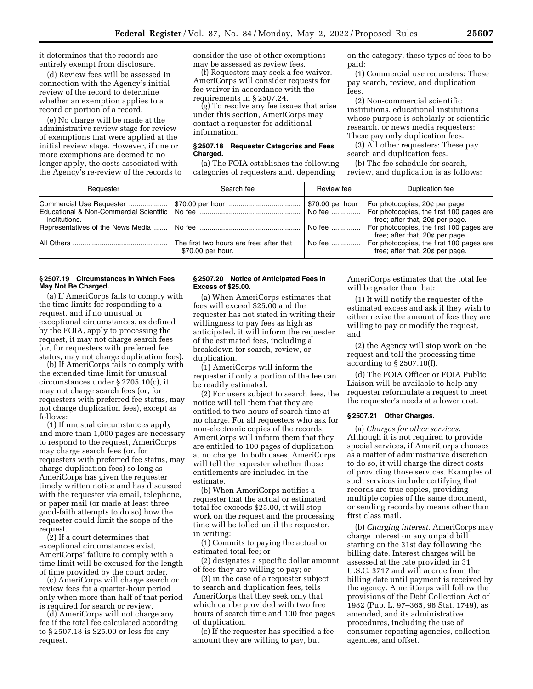it determines that the records are entirely exempt from disclosure.

(d) Review fees will be assessed in connection with the Agency's initial review of the record to determine whether an exemption applies to a record or portion of a record.

(e) No charge will be made at the administrative review stage for review of exemptions that were applied at the initial review stage. However, if one or more exemptions are deemed to no longer apply, the costs associated with the Agency's re-review of the records to consider the use of other exemptions may be assessed as review fees.

(f) Requesters may seek a fee waiver. AmeriCorps will consider requests for fee waiver in accordance with the requirements in § 2507.24.

(g) To resolve any fee issues that arise under this section, AmeriCorps may contact a requester for additional information.

#### **§ 2507.18 Requester Categories and Fees Charged.**

(a) The FOIA establishes the following categories of requesters and, depending

on the category, these types of fees to be paid:

(1) Commercial use requesters: These pay search, review, and duplication fees.

(2) Non-commercial scientific institutions, educational institutions whose purpose is scholarly or scientific research, or news media requesters: These pay only duplication fees.

(3) All other requesters: These pay search and duplication fees.

(b) The fee schedule for search, review, and duplication is as follows:

| Requester     | Search fee                                                    | Review fee          | Duplication fee                                                                                                                                                                |
|---------------|---------------------------------------------------------------|---------------------|--------------------------------------------------------------------------------------------------------------------------------------------------------------------------------|
| Institutions. |                                                               | No fee   <br>No fee | \$70.00 per hour   For photocopies, $20¢$ per page.<br>For photocopies, the first 100 pages are<br>free; after that, 20¢ per page.<br>For photocopies, the first 100 pages are |
|               | The first two hours are free; after that<br>\$70.00 per hour. | No fee              | free; after that, 20¢ per page.<br>For photocopies, the first 100 pages are<br>free: after that, 20¢ per page.                                                                 |

## **§ 2507.19 Circumstances in Which Fees May Not Be Charged.**

(a) If AmeriCorps fails to comply with the time limits for responding to a request, and if no unusual or exceptional circumstances, as defined by the FOIA, apply to processing the request, it may not charge search fees (or, for requesters with preferred fee status, may not charge duplication fees).

(b) If AmeriCorps fails to comply with the extended time limit for unusual circumstances under § 2705.10(c), it may not charge search fees (or, for requesters with preferred fee status, may not charge duplication fees), except as follows:

(1) If unusual circumstances apply and more than 1,000 pages are necessary to respond to the request, AmeriCorps may charge search fees (or, for requesters with preferred fee status, may charge duplication fees) so long as AmeriCorps has given the requester timely written notice and has discussed with the requester via email, telephone, or paper mail (or made at least three good-faith attempts to do so) how the requester could limit the scope of the request.

(2) If a court determines that exceptional circumstances exist, AmeriCorps' failure to comply with a time limit will be excused for the length of time provided by the court order.

(c) AmeriCorps will charge search or review fees for a quarter-hour period only when more than half of that period is required for search or review.

(d) AmeriCorps will not charge any fee if the total fee calculated according to § 2507.18 is \$25.00 or less for any request.

## **§ 2507.20 Notice of Anticipated Fees in Excess of \$25.00.**

(a) When AmeriCorps estimates that fees will exceed \$25.00 and the requester has not stated in writing their willingness to pay fees as high as anticipated, it will inform the requester of the estimated fees, including a breakdown for search, review, or duplication.

(1) AmeriCorps will inform the requester if only a portion of the fee can be readily estimated.

(2) For users subject to search fees, the notice will tell them that they are entitled to two hours of search time at no charge. For all requesters who ask for non-electronic copies of the records, AmeriCorps will inform them that they are entitled to 100 pages of duplication at no charge. In both cases, AmeriCorps will tell the requester whether those entitlements are included in the estimate.

(b) When AmeriCorps notifies a requester that the actual or estimated total fee exceeds \$25.00, it will stop work on the request and the processing time will be tolled until the requester, in writing:

(1) Commits to paying the actual or estimated total fee; or

(2) designates a specific dollar amount of fees they are willing to pay; or

(3) in the case of a requester subject to search and duplication fees, tells AmeriCorps that they seek only that which can be provided with two free hours of search time and 100 free pages of duplication.

(c) If the requester has specified a fee amount they are willing to pay, but

AmeriCorps estimates that the total fee will be greater than that:

(1) It will notify the requester of the estimated excess and ask if they wish to either revise the amount of fees they are willing to pay or modify the request, and

(2) the Agency will stop work on the request and toll the processing time according to § 2507.10(f).

(d) The FOIA Officer or FOIA Public Liaison will be available to help any requester reformulate a request to meet the requester's needs at a lower cost.

## **§ 2507.21 Other Charges.**

(a) *Charges for other services.*  Although it is not required to provide special services, if AmeriCorps chooses as a matter of administrative discretion to do so, it will charge the direct costs of providing those services. Examples of such services include certifying that records are true copies, providing multiple copies of the same document, or sending records by means other than first class mail.

(b) *Charging interest.* AmeriCorps may charge interest on any unpaid bill starting on the 31st day following the billing date. Interest charges will be assessed at the rate provided in 31 U.S.C. 3717 and will accrue from the billing date until payment is received by the agency. AmeriCorps will follow the provisions of the Debt Collection Act of 1982 (Pub. L. 97–365, 96 Stat. 1749), as amended, and its administrative procedures, including the use of consumer reporting agencies, collection agencies, and offset.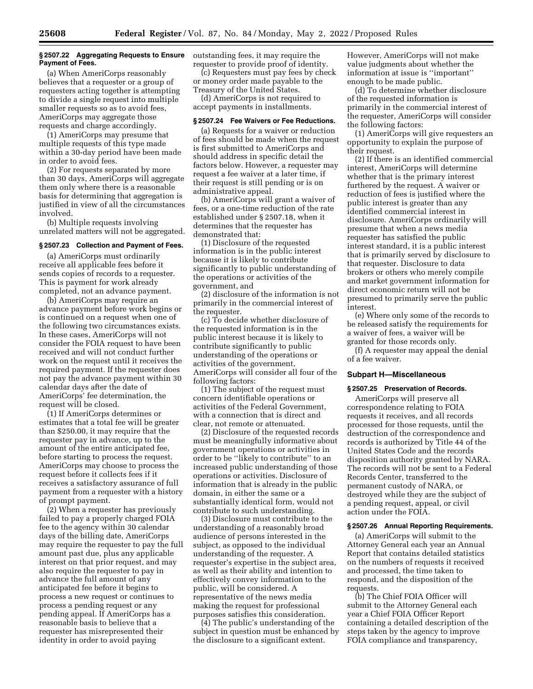#### **§ 2507.22 Aggregating Requests to Ensure Payment of Fees.**

(a) When AmeriCorps reasonably believes that a requester or a group of requesters acting together is attempting to divide a single request into multiple smaller requests so as to avoid fees, AmeriCorps may aggregate those requests and charge accordingly.

(1) AmeriCorps may presume that multiple requests of this type made within a 30-day period have been made in order to avoid fees.

(2) For requests separated by more than 30 days, AmeriCorps will aggregate them only where there is a reasonable basis for determining that aggregation is justified in view of all the circumstances involved.

(b) Multiple requests involving unrelated matters will not be aggregated.

## **§ 2507.23 Collection and Payment of Fees.**

(a) AmeriCorps must ordinarily receive all applicable fees before it sends copies of records to a requester. This is payment for work already completed, not an advance payment.

(b) AmeriCorps may require an advance payment before work begins or is continued on a request when one of the following two circumstances exists. In these cases, AmeriCorps will not consider the FOIA request to have been received and will not conduct further work on the request until it receives the required payment. If the requester does not pay the advance payment within 30 calendar days after the date of AmeriCorps' fee determination, the request will be closed.

(1) If AmeriCorps determines or estimates that a total fee will be greater than \$250.00, it may require that the requester pay in advance, up to the amount of the entire anticipated fee, before starting to process the request. AmeriCorps may choose to process the request before it collects fees if it receives a satisfactory assurance of full payment from a requester with a history of prompt payment.

(2) When a requester has previously failed to pay a properly charged FOIA fee to the agency within 30 calendar days of the billing date, AmeriCorps may require the requester to pay the full amount past due, plus any applicable interest on that prior request, and may also require the requester to pay in advance the full amount of any anticipated fee before it begins to process a new request or continues to process a pending request or any pending appeal. If AmeriCorps has a reasonable basis to believe that a requester has misrepresented their identity in order to avoid paying

outstanding fees, it may require the requester to provide proof of identity.

(c) Requesters must pay fees by check or money order made payable to the Treasury of the United States.

(d) AmeriCorps is not required to accept payments in installments.

#### **§ 2507.24 Fee Waivers or Fee Reductions.**

(a) Requests for a waiver or reduction of fees should be made when the request is first submitted to AmeriCorps and should address in specific detail the factors below. However, a requester may request a fee waiver at a later time, if their request is still pending or is on administrative appeal.

(b) AmeriCorps will grant a waiver of fees, or a one-time reduction of the rate established under § 2507.18, when it determines that the requester has demonstrated that:

(1) Disclosure of the requested information is in the public interest because it is likely to contribute significantly to public understanding of the operations or activities of the government, and

(2) disclosure of the information is not primarily in the commercial interest of the requester.

(c) To decide whether disclosure of the requested information is in the public interest because it is likely to contribute significantly to public understanding of the operations or activities of the government, AmeriCorps will consider all four of the following factors:

(1) The subject of the request must concern identifiable operations or activities of the Federal Government, with a connection that is direct and clear, not remote or attenuated.

(2) Disclosure of the requested records must be meaningfully informative about government operations or activities in order to be ''likely to contribute'' to an increased public understanding of those operations or activities. Disclosure of information that is already in the public domain, in either the same or a substantially identical form, would not contribute to such understanding.

(3) Disclosure must contribute to the understanding of a reasonably broad audience of persons interested in the subject, as opposed to the individual understanding of the requester. A requester's expertise in the subject area, as well as their ability and intention to effectively convey information to the public, will be considered. A representative of the news media making the request for professional purposes satisfies this consideration.

(4) The public's understanding of the subject in question must be enhanced by the disclosure to a significant extent.

However, AmeriCorps will not make value judgments about whether the information at issue is ''important'' enough to be made public.

(d) To determine whether disclosure of the requested information is primarily in the commercial interest of the requester, AmeriCorps will consider the following factors:

(1) AmeriCorps will give requesters an opportunity to explain the purpose of their request.

(2) If there is an identified commercial interest, AmeriCorps will determine whether that is the primary interest furthered by the request. A waiver or reduction of fees is justified where the public interest is greater than any identified commercial interest in disclosure. AmeriCorps ordinarily will presume that when a news media requester has satisfied the public interest standard, it is a public interest that is primarily served by disclosure to that requester. Disclosure to data brokers or others who merely compile and market government information for direct economic return will not be presumed to primarily serve the public interest.

(e) Where only some of the records to be released satisfy the requirements for a waiver of fees, a waiver will be granted for those records only.

(f) A requester may appeal the denial of a fee waiver.

## **Subpart H—Miscellaneous**

## **§ 2507.25 Preservation of Records.**

AmeriCorps will preserve all correspondence relating to FOIA requests it receives, and all records processed for those requests, until the destruction of the correspondence and records is authorized by Title 44 of the United States Code and the records disposition authority granted by NARA. The records will not be sent to a Federal Records Center, transferred to the permanent custody of NARA, or destroyed while they are the subject of a pending request, appeal, or civil action under the FOIA.

#### **§ 2507.26 Annual Reporting Requirements.**

(a) AmeriCorps will submit to the Attorney General each year an Annual Report that contains detailed statistics on the numbers of requests it received and processed, the time taken to respond, and the disposition of the requests.

(b) The Chief FOIA Officer will submit to the Attorney General each year a Chief FOIA Officer Report containing a detailed description of the steps taken by the agency to improve FOIA compliance and transparency,